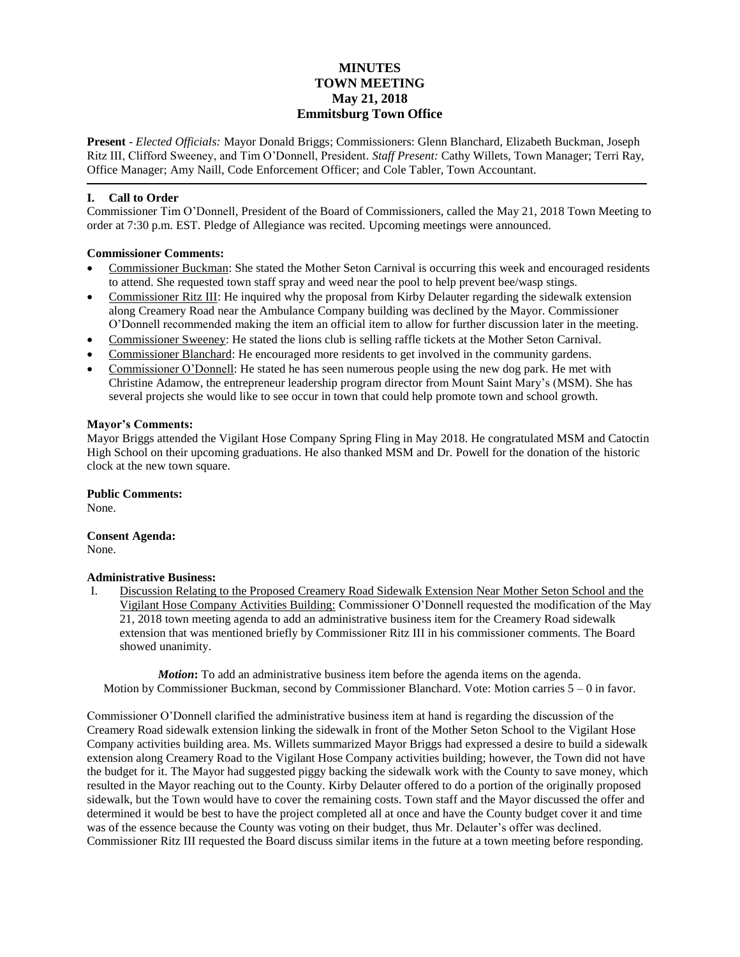# **MINUTES TOWN MEETING May 21, 2018 Emmitsburg Town Office**

**Present** - *Elected Officials:* Mayor Donald Briggs; Commissioners: Glenn Blanchard, Elizabeth Buckman, Joseph Ritz III, Clifford Sweeney, and Tim O'Donnell, President. *Staff Present:* Cathy Willets, Town Manager; Terri Ray, Office Manager; Amy Naill, Code Enforcement Officer; and Cole Tabler, Town Accountant.

## **I. Call to Order**

Commissioner Tim O'Donnell, President of the Board of Commissioners, called the May 21, 2018 Town Meeting to order at 7:30 p.m. EST. Pledge of Allegiance was recited. Upcoming meetings were announced.

## **Commissioner Comments:**

- Commissioner Buckman: She stated the Mother Seton Carnival is occurring this week and encouraged residents to attend. She requested town staff spray and weed near the pool to help prevent bee/wasp stings.
- Commissioner Ritz III: He inquired why the proposal from Kirby Delauter regarding the sidewalk extension along Creamery Road near the Ambulance Company building was declined by the Mayor. Commissioner O'Donnell recommended making the item an official item to allow for further discussion later in the meeting.
- Commissioner Sweeney: He stated the lions club is selling raffle tickets at the Mother Seton Carnival.
- Commissioner Blanchard: He encouraged more residents to get involved in the community gardens.
- Commissioner O'Donnell: He stated he has seen numerous people using the new dog park. He met with Christine Adamow, the entrepreneur leadership program director from Mount Saint Mary's (MSM). She has several projects she would like to see occur in town that could help promote town and school growth.

#### **Mayor's Comments:**

Mayor Briggs attended the Vigilant Hose Company Spring Fling in May 2018. He congratulated MSM and Catoctin High School on their upcoming graduations. He also thanked MSM and Dr. Powell for the donation of the historic clock at the new town square.

## **Public Comments:**

None.

#### **Consent Agenda:** None.

## **Administrative Business:**

I. Discussion Relating to the Proposed Creamery Road Sidewalk Extension Near Mother Seton School and the Vigilant Hose Company Activities Building: Commissioner O'Donnell requested the modification of the May 21, 2018 town meeting agenda to add an administrative business item for the Creamery Road sidewalk extension that was mentioned briefly by Commissioner Ritz III in his commissioner comments. The Board showed unanimity.

*Motion*: To add an administrative business item before the agenda items on the agenda. Motion by Commissioner Buckman, second by Commissioner Blanchard. Vote: Motion carries  $5 - 0$  in favor.

Commissioner O'Donnell clarified the administrative business item at hand is regarding the discussion of the Creamery Road sidewalk extension linking the sidewalk in front of the Mother Seton School to the Vigilant Hose Company activities building area. Ms. Willets summarized Mayor Briggs had expressed a desire to build a sidewalk extension along Creamery Road to the Vigilant Hose Company activities building; however, the Town did not have the budget for it. The Mayor had suggested piggy backing the sidewalk work with the County to save money, which resulted in the Mayor reaching out to the County. Kirby Delauter offered to do a portion of the originally proposed sidewalk, but the Town would have to cover the remaining costs. Town staff and the Mayor discussed the offer and determined it would be best to have the project completed all at once and have the County budget cover it and time was of the essence because the County was voting on their budget, thus Mr. Delauter's offer was declined. Commissioner Ritz III requested the Board discuss similar items in the future at a town meeting before responding.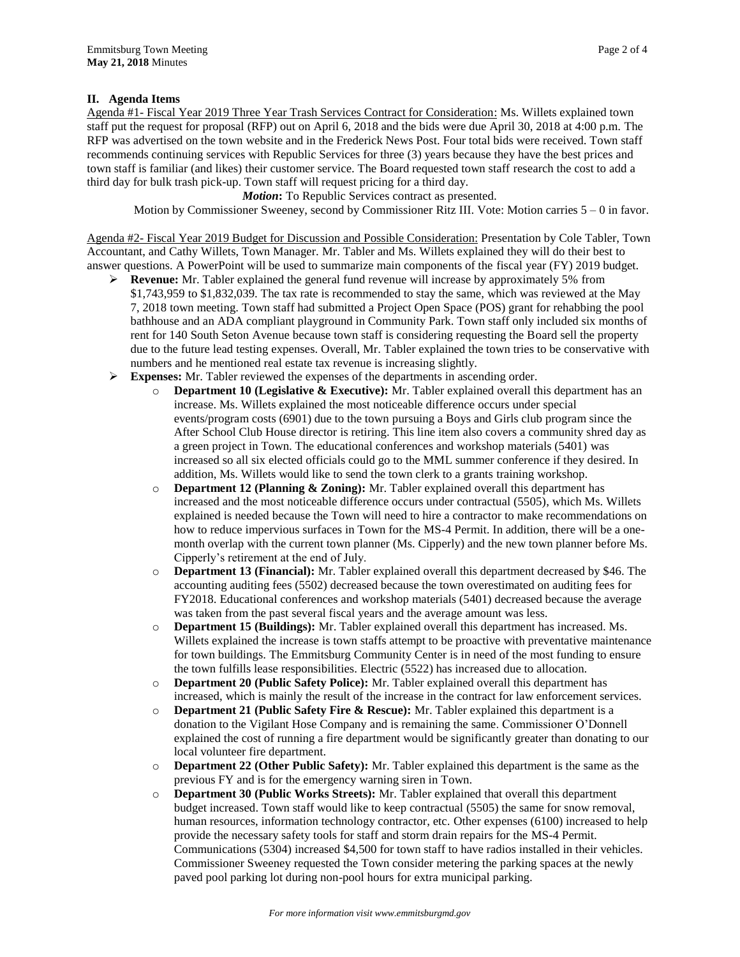## **II. Agenda Items**

Agenda #1- Fiscal Year 2019 Three Year Trash Services Contract for Consideration: Ms. Willets explained town staff put the request for proposal (RFP) out on April 6, 2018 and the bids were due April 30, 2018 at 4:00 p.m. The RFP was advertised on the town website and in the Frederick News Post. Four total bids were received. Town staff recommends continuing services with Republic Services for three (3) years because they have the best prices and town staff is familiar (and likes) their customer service. The Board requested town staff research the cost to add a third day for bulk trash pick-up. Town staff will request pricing for a third day.

*Motion*: To Republic Services contract as presented.

Motion by Commissioner Sweeney, second by Commissioner Ritz III. Vote: Motion carries  $5 - 0$  in favor.

Agenda #2- Fiscal Year 2019 Budget for Discussion and Possible Consideration: Presentation by Cole Tabler, Town Accountant, and Cathy Willets, Town Manager. Mr. Tabler and Ms. Willets explained they will do their best to answer questions. A PowerPoint will be used to summarize main components of the fiscal year (FY) 2019 budget.

- **Revenue:** Mr. Tabler explained the general fund revenue will increase by approximately 5% from \$1,743,959 to \$1,832,039. The tax rate is recommended to stay the same, which was reviewed at the May 7, 2018 town meeting. Town staff had submitted a Project Open Space (POS) grant for rehabbing the pool bathhouse and an ADA compliant playground in Community Park. Town staff only included six months of rent for 140 South Seton Avenue because town staff is considering requesting the Board sell the property due to the future lead testing expenses. Overall, Mr. Tabler explained the town tries to be conservative with numbers and he mentioned real estate tax revenue is increasing slightly.
- **Expenses:** Mr. Tabler reviewed the expenses of the departments in ascending order.
	- o **Department 10 (Legislative & Executive):** Mr. Tabler explained overall this department has an increase. Ms. Willets explained the most noticeable difference occurs under special events/program costs (6901) due to the town pursuing a Boys and Girls club program since the After School Club House director is retiring. This line item also covers a community shred day as a green project in Town. The educational conferences and workshop materials (5401) was increased so all six elected officials could go to the MML summer conference if they desired. In addition, Ms. Willets would like to send the town clerk to a grants training workshop.
	- o **Department 12 (Planning & Zoning):** Mr. Tabler explained overall this department has increased and the most noticeable difference occurs under contractual (5505), which Ms. Willets explained is needed because the Town will need to hire a contractor to make recommendations on how to reduce impervious surfaces in Town for the MS-4 Permit. In addition, there will be a onemonth overlap with the current town planner (Ms. Cipperly) and the new town planner before Ms. Cipperly's retirement at the end of July.
	- o **Department 13 (Financial):** Mr. Tabler explained overall this department decreased by \$46. The accounting auditing fees (5502) decreased because the town overestimated on auditing fees for FY2018. Educational conferences and workshop materials (5401) decreased because the average was taken from the past several fiscal years and the average amount was less.
	- o **Department 15 (Buildings):** Mr. Tabler explained overall this department has increased. Ms. Willets explained the increase is town staffs attempt to be proactive with preventative maintenance for town buildings. The Emmitsburg Community Center is in need of the most funding to ensure the town fulfills lease responsibilities. Electric (5522) has increased due to allocation.
	- o **Department 20 (Public Safety Police):** Mr. Tabler explained overall this department has increased, which is mainly the result of the increase in the contract for law enforcement services.
	- o **Department 21 (Public Safety Fire & Rescue):** Mr. Tabler explained this department is a donation to the Vigilant Hose Company and is remaining the same. Commissioner O'Donnell explained the cost of running a fire department would be significantly greater than donating to our local volunteer fire department.
	- o **Department 22 (Other Public Safety):** Mr. Tabler explained this department is the same as the previous FY and is for the emergency warning siren in Town.
	- o **Department 30 (Public Works Streets):** Mr. Tabler explained that overall this department budget increased. Town staff would like to keep contractual (5505) the same for snow removal, human resources, information technology contractor, etc. Other expenses (6100) increased to help provide the necessary safety tools for staff and storm drain repairs for the MS-4 Permit. Communications (5304) increased \$4,500 for town staff to have radios installed in their vehicles. Commissioner Sweeney requested the Town consider metering the parking spaces at the newly paved pool parking lot during non-pool hours for extra municipal parking.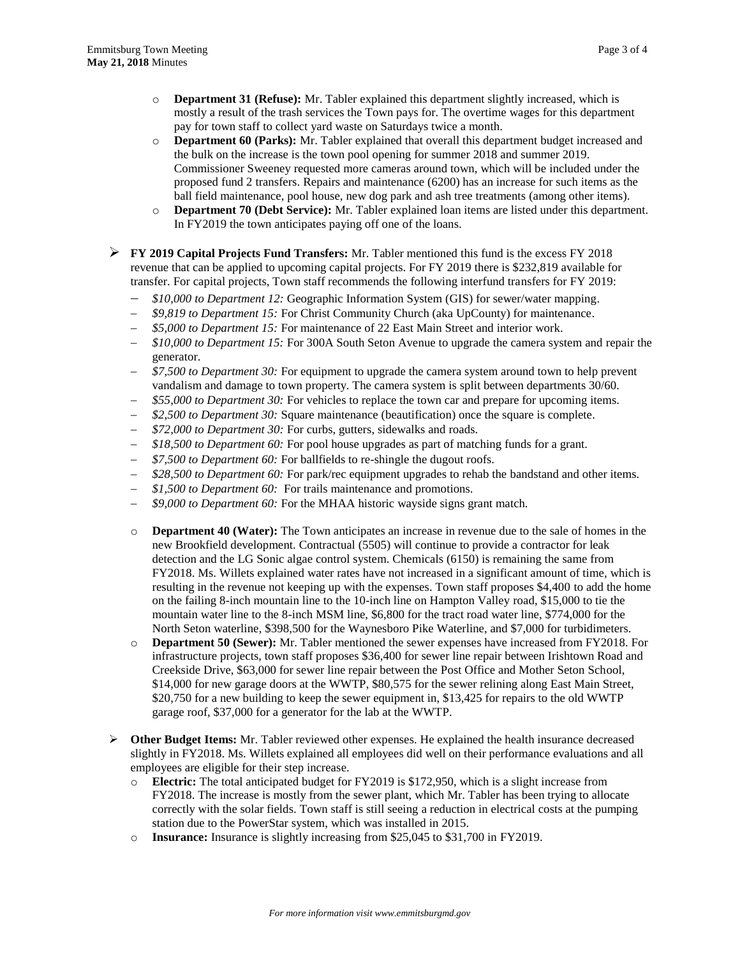- o **Department 31 (Refuse):** Mr. Tabler explained this department slightly increased, which is mostly a result of the trash services the Town pays for. The overtime wages for this department pay for town staff to collect yard waste on Saturdays twice a month.
- o **Department 60 (Parks):** Mr. Tabler explained that overall this department budget increased and the bulk on the increase is the town pool opening for summer 2018 and summer 2019. Commissioner Sweeney requested more cameras around town, which will be included under the proposed fund 2 transfers. Repairs and maintenance (6200) has an increase for such items as the ball field maintenance, pool house, new dog park and ash tree treatments (among other items).
- o **Department 70 (Debt Service):** Mr. Tabler explained loan items are listed under this department. In FY2019 the town anticipates paying off one of the loans.
- **FY 2019 Capital Projects Fund Transfers:** Mr. Tabler mentioned this fund is the excess FY 2018 revenue that can be applied to upcoming capital projects. For FY 2019 there is \$232,819 available for transfer. For capital projects, Town staff recommends the following interfund transfers for FY 2019:
	- *\$10,000 to Department 12:* Geographic Information System (GIS) for sewer/water mapping.
	- *\$9,819 to Department 15:* For Christ Community Church (aka UpCounty) for maintenance.
	- *\$5,000 to Department 15:* For maintenance of 22 East Main Street and interior work.
	- *\$10,000 to Department 15:* For 300A South Seton Avenue to upgrade the camera system and repair the generator.
	- *\$7,500 to Department 30:* For equipment to upgrade the camera system around town to help prevent vandalism and damage to town property. The camera system is split between departments 30/60.
	- *\$55,000 to Department 30:* For vehicles to replace the town car and prepare for upcoming items.
	- *\$2,500 to Department 30:* Square maintenance (beautification) once the square is complete.
	- *\$72,000 to Department 30:* For curbs, gutters, sidewalks and roads.
	- *\$18,500 to Department 60:* For pool house upgrades as part of matching funds for a grant.
	- *\$7,500 to Department 60:* For ballfields to re-shingle the dugout roofs.
	- *\$28,500 to Department 60:* For park/rec equipment upgrades to rehab the bandstand and other items.
	- *\$1,500 to Department 60:* For trails maintenance and promotions.
	- *\$9,000 to Department 60:* For the MHAA historic wayside signs grant match.
	- o **Department 40 (Water):** The Town anticipates an increase in revenue due to the sale of homes in the new Brookfield development. Contractual (5505) will continue to provide a contractor for leak detection and the LG Sonic algae control system. Chemicals (6150) is remaining the same from FY2018. Ms. Willets explained water rates have not increased in a significant amount of time, which is resulting in the revenue not keeping up with the expenses. Town staff proposes \$4,400 to add the home on the failing 8-inch mountain line to the 10-inch line on Hampton Valley road, \$15,000 to tie the mountain water line to the 8-inch MSM line, \$6,800 for the tract road water line, \$774,000 for the North Seton waterline, \$398,500 for the Waynesboro Pike Waterline, and \$7,000 for turbidimeters.
	- o **Department 50 (Sewer):** Mr. Tabler mentioned the sewer expenses have increased from FY2018. For infrastructure projects, town staff proposes \$36,400 for sewer line repair between Irishtown Road and Creekside Drive, \$63,000 for sewer line repair between the Post Office and Mother Seton School, \$14,000 for new garage doors at the WWTP, \$80,575 for the sewer relining along East Main Street, \$20,750 for a new building to keep the sewer equipment in, \$13,425 for repairs to the old WWTP garage roof, \$37,000 for a generator for the lab at the WWTP.
- **Other Budget Items:** Mr. Tabler reviewed other expenses. He explained the health insurance decreased slightly in FY2018. Ms. Willets explained all employees did well on their performance evaluations and all employees are eligible for their step increase.
	- o **Electric:** The total anticipated budget for FY2019 is \$172,950, which is a slight increase from FY2018. The increase is mostly from the sewer plant, which Mr. Tabler has been trying to allocate correctly with the solar fields. Town staff is still seeing a reduction in electrical costs at the pumping station due to the PowerStar system, which was installed in 2015.
	- o **Insurance:** Insurance is slightly increasing from \$25,045 to \$31,700 in FY2019.